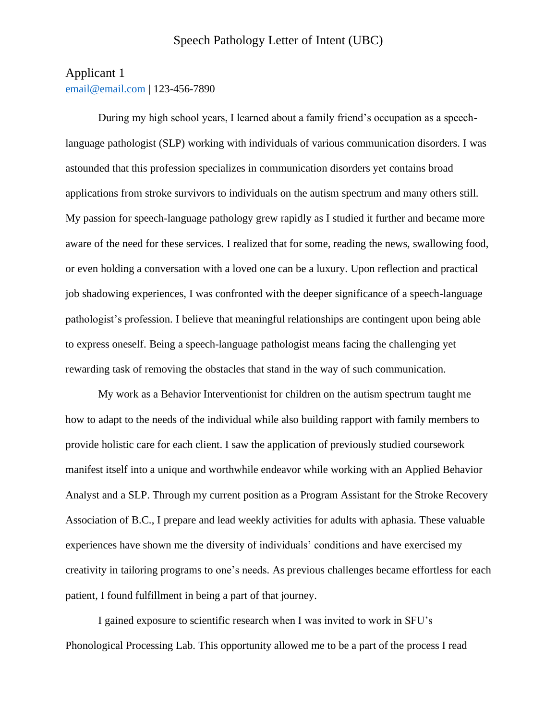## Applicant 1

[email@email.com](mailto:email@email.com) | 123-456-7890

During my high school years, I learned about a family friend's occupation as a speechlanguage pathologist (SLP) working with individuals of various communication disorders. I was astounded that this profession specializes in communication disorders yet contains broad applications from stroke survivors to individuals on the autism spectrum and many others still. My passion for speech-language pathology grew rapidly as I studied it further and became more aware of the need for these services. I realized that for some, reading the news, swallowing food, or even holding a conversation with a loved one can be a luxury. Upon reflection and practical job shadowing experiences, I was confronted with the deeper significance of a speech-language pathologist's profession. I believe that meaningful relationships are contingent upon being able to express oneself. Being a speech-language pathologist means facing the challenging yet rewarding task of removing the obstacles that stand in the way of such communication.

My work as a Behavior Interventionist for children on the autism spectrum taught me how to adapt to the needs of the individual while also building rapport with family members to provide holistic care for each client. I saw the application of previously studied coursework manifest itself into a unique and worthwhile endeavor while working with an Applied Behavior Analyst and a SLP. Through my current position as a Program Assistant for the Stroke Recovery Association of B.C., I prepare and lead weekly activities for adults with aphasia. These valuable experiences have shown me the diversity of individuals' conditions and have exercised my creativity in tailoring programs to one's needs. As previous challenges became effortless for each patient, I found fulfillment in being a part of that journey.

I gained exposure to scientific research when I was invited to work in SFU's Phonological Processing Lab. This opportunity allowed me to be a part of the process I read